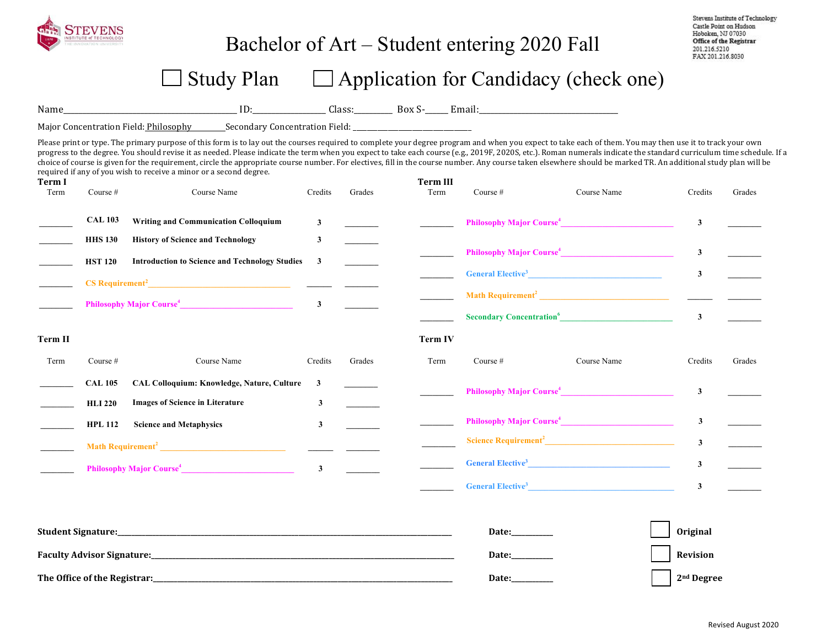

## Bachelor of Art – Student entering 2020 Fall

### $\Box$  Study Plan  $\Box$  Application for Candidacy (check one)

Name\_\_\_\_\_\_\_\_\_\_\_\_\_\_\_\_\_\_\_\_\_\_\_\_\_\_\_\_\_\_\_\_\_\_\_\_\_\_\_\_\_\_\_\_\_ ID:\_\_\_\_\_\_\_\_\_\_\_\_\_\_\_\_\_\_\_ Class:\_\_\_\_\_\_\_\_\_\_ Box S-\_\_\_\_\_\_ Email:\_\_\_\_\_\_\_\_\_\_\_\_\_\_\_\_\_\_\_\_\_\_\_\_\_\_\_\_\_\_\_\_\_\_\_\_

Major Concentration Field: Philosophy Secondary Concentration Field:

Please print or type. The primary purpose of this form is to lay out the courses required to complete your degree program and when you expect to take each of them. You may then use it to track your own progress to the degree. You should revise it as needed. Please indicate the term when you expect to take each course (e.g., 2019F, 2020S, etc.). Roman numerals indicate the standard curriculum time schedule. If a choice of course is given for the requirement, circle the appropriate course number. For electives, fill in the course number. Any course taken elsewhere should be marked TR. An additional study plan will be required if any of you wish to receive a minor or a second degree.

| Term I<br>Term | Course $#$                           | Course Name                                           | Credits                 | Grades                           | <b>Term III</b><br>Term | Course $#$                                  | Course Name                                                                                                                                                                                                                              | Credits                 | Grades |
|----------------|--------------------------------------|-------------------------------------------------------|-------------------------|----------------------------------|-------------------------|---------------------------------------------|------------------------------------------------------------------------------------------------------------------------------------------------------------------------------------------------------------------------------------------|-------------------------|--------|
|                | <b>CAL 103</b>                       | <b>Writing and Communication Colloquium</b>           | $\mathbf{3}$            |                                  |                         |                                             | Philosophy Major Course <sup>4</sup>                                                                                                                                                                                                     | $\overline{\mathbf{3}}$ |        |
|                | <b>HHS 130</b>                       | <b>History of Science and Technology</b>              | 3                       |                                  |                         |                                             |                                                                                                                                                                                                                                          |                         |        |
|                | <b>HST 120</b>                       | <b>Introduction to Science and Technology Studies</b> | 3                       |                                  |                         |                                             | Philosophy Major Course <sup>4</sup>                                                                                                                                                                                                     | $\overline{\mathbf{3}}$ |        |
|                |                                      |                                                       |                         |                                  |                         |                                             | General Elective <sup>3</sup>                                                                                                                                                                                                            | $\mathbf{3}$            |        |
|                | Philosophy Major Course <sup>4</sup> |                                                       |                         |                                  |                         |                                             |                                                                                                                                                                                                                                          |                         |        |
|                |                                      |                                                       |                         |                                  |                         | <b>Secondary Concentration</b> <sup>6</sup> |                                                                                                                                                                                                                                          | $\mathbf{3}$            |        |
| Term II        |                                      |                                                       |                         |                                  | <b>Term IV</b>          |                                             |                                                                                                                                                                                                                                          |                         |        |
| Term           | Course $#$                           | Course Name                                           | Credits                 | Grades                           | Term                    | Course $#$                                  | Course Name                                                                                                                                                                                                                              | Credits                 | Grades |
|                | <b>CAL 105</b>                       | CAL Colloquium: Knowledge, Nature, Culture            |                         |                                  |                         | Philosophy Major Course <sup>4</sup>        |                                                                                                                                                                                                                                          | 3                       |        |
|                | <b>HLI 220</b>                       | <b>Images of Science in Literature</b>                | 3                       |                                  |                         |                                             |                                                                                                                                                                                                                                          |                         |        |
|                | <b>HPL 112</b>                       | <b>Science and Metaphysics</b>                        | 3                       |                                  |                         |                                             | Philosophy Major Course <sup>4</sup>                                                                                                                                                                                                     | $\overline{\mathbf{3}}$ |        |
|                |                                      |                                                       |                         | <u> The Common School (1999)</u> |                         |                                             |                                                                                                                                                                                                                                          | $\mathbf{3}$            |        |
|                |                                      | Philosophy Major Course <sup>4</sup>                  | $\overline{\mathbf{3}}$ |                                  |                         |                                             | General Elective <sup>3</sup> 2008 and 2008 and 2008 and 2008 and 2008 and 2008 and 2008 and 2008 and 2008 and 2008 and 2008 and 2008 and 2008 and 2008 and 2008 and 2008 and 2008 and 2008 and 2008 and 2008 and 2008 and 2008 and 2008 | $\mathbf{3}$            |        |
|                |                                      |                                                       |                         |                                  |                         |                                             | General Elective <sup>3</sup>                                                                                                                                                                                                            | $\mathbf{3}$            |        |
|                |                                      |                                                       |                         |                                  |                         |                                             |                                                                                                                                                                                                                                          |                         |        |

| <b>Student Signature:</b>         | <b>Date:</b> | Original               |
|-----------------------------------|--------------|------------------------|
| <b>Faculty Advisor Signature:</b> | <b>Date:</b> | Revision               |
| The Office of the Registrar:      | <b>Date:</b> | 2 <sup>nd</sup> Degree |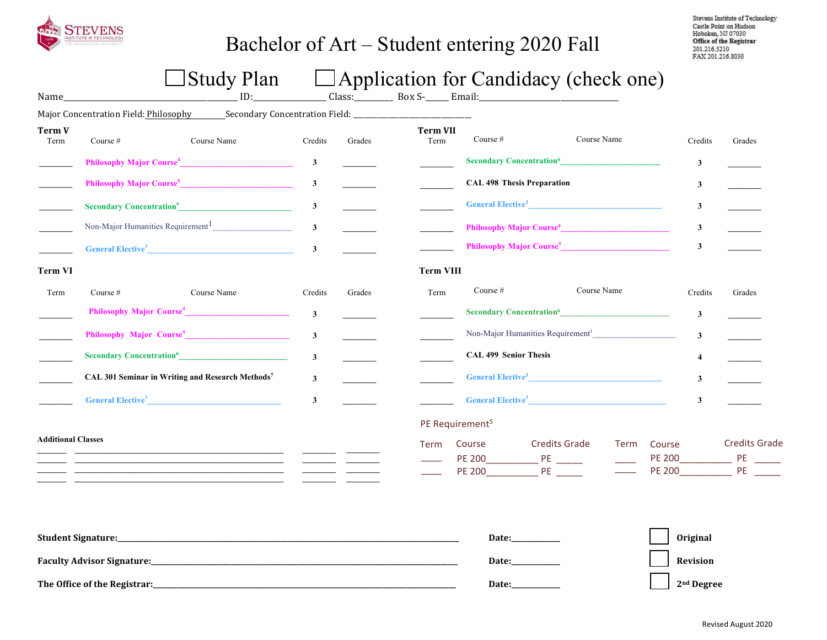

## Bachelor of Art – Student entering 2020 Fall

Stevens Institute of Technology Castle Point on Hudson Hoboken, NJ 07030 Office of the Registrar 201.216.5210 FAX 201.216.8030

# $\Box$  Study Plan  $\Box$  Application for Candidacy (check one)

| Name                      |                                                                                                      | $ \sim$ $\sim$ $\sim$ $\sim$ $\sim$ $\sim$                                                                           |              |                                                             |                              |                                               | $\Box$ represence for concrete $f$ (encere one) |             |                         |                 |                      |
|---------------------------|------------------------------------------------------------------------------------------------------|----------------------------------------------------------------------------------------------------------------------|--------------|-------------------------------------------------------------|------------------------------|-----------------------------------------------|-------------------------------------------------|-------------|-------------------------|-----------------|----------------------|
|                           | Major Concentration Field: Philosophy Secondary Concentration Field: _______________________________ |                                                                                                                      |              |                                                             |                              |                                               |                                                 |             |                         |                 |                      |
| Term V<br>Term            | Course #                                                                                             | Course Name                                                                                                          | Credits      | Grades                                                      | <b>Term VII</b><br>Term      | Course #                                      |                                                 | Course Name |                         | Credits         | Grades               |
|                           |                                                                                                      | Philosophy Major Course <sup>4</sup>                                                                                 | $\mathbf{3}$ | $\mathcal{L}^{\text{max}}$ , and $\mathcal{L}^{\text{max}}$ |                              | <b>Secondary Concentration</b> <sup>6</sup>   |                                                 |             |                         | $\mathbf{3}$    |                      |
|                           | Philosophy Major Course <sup>4</sup>                                                                 |                                                                                                                      |              |                                                             |                              |                                               | <b>CAL 498 Thesis Preparation</b>               |             |                         | $\mathbf{3}$    |                      |
|                           |                                                                                                      |                                                                                                                      | $\mathbf{3}$ |                                                             |                              |                                               | General Elective <sup>3</sup>                   |             |                         | $\mathbf{3}$    |                      |
|                           | Non-Major Humanities Requirement <sup>1</sup>                                                        |                                                                                                                      |              |                                                             |                              | Philosophy Major Course <sup>4</sup>          |                                                 |             |                         | $\mathbf{3}$    |                      |
|                           |                                                                                                      | General Elective <sup>3</sup>                                                                                        | $\mathbf{3}$ |                                                             |                              |                                               | Philosophy Major Course <sup>4</sup>            |             |                         | $\mathbf{3}$    |                      |
| <b>Term VI</b>            |                                                                                                      |                                                                                                                      |              |                                                             | <b>Term VIII</b>             |                                               |                                                 |             |                         |                 |                      |
| Term                      | Course #                                                                                             | Course Name                                                                                                          | Credits      | Grades                                                      | Term                         | Course $#$                                    |                                                 | Course Name |                         | Credits         | Grades               |
|                           |                                                                                                      | Philosophy Major Course <sup>4</sup>                                                                                 | $\mathbf{3}$ |                                                             |                              |                                               | <b>Secondary Concentration</b> <sup>6</sup>     |             |                         | $\mathbf{3}$    |                      |
|                           | Philosophy Major Course <sup>4</sup>                                                                 |                                                                                                                      |              |                                                             |                              | Non-Major Humanities Requirement <sup>1</sup> |                                                 |             |                         | $\mathbf{3}$    |                      |
|                           | Secondary Concentration <sup>6</sup>                                                                 | $\mathbf{3}$                                                                                                         |              |                                                             | <b>CAL 499 Senior Thesis</b> |                                               |                                                 |             | $\overline{\mathbf{4}}$ |                 |                      |
|                           | CAL 301 Seminar in Writing and Research Methods7<br>General Elective <sup>3</sup>                    |                                                                                                                      |              |                                                             |                              | General Elective <sup>3</sup>                 |                                                 |             |                         | $\mathbf{3}$    |                      |
|                           |                                                                                                      |                                                                                                                      |              |                                                             |                              |                                               |                                                 |             |                         | $\mathbf{3}$    |                      |
|                           |                                                                                                      |                                                                                                                      |              |                                                             |                              | PE Requirement <sup>5</sup>                   |                                                 |             |                         |                 |                      |
| <b>Additional Classes</b> |                                                                                                      | <u> 1989 - Johann Barbara, marka a shekara tsa 1989 - An tsa 1989 - An tsa 1989 - An tsa 1989 - An tsa 1989 - An</u> |              |                                                             | Term                         | Course                                        | <b>Credits Grade</b><br>PE 200 PE               | Term        | Course                  |                 | <b>Credits Grade</b> |
|                           |                                                                                                      |                                                                                                                      |              |                                                             |                              |                                               | Date:                                           |             |                         | <b>Original</b> |                      |
|                           |                                                                                                      |                                                                                                                      |              |                                                             |                              | Date:                                         |                                                 |             | Revision                |                 |                      |

**The Office of the Registrar:\_\_\_\_\_\_\_\_\_\_\_\_\_\_\_\_\_\_\_\_\_\_\_\_\_\_\_\_\_\_\_\_\_\_\_\_\_\_\_\_\_\_\_\_\_\_\_\_\_\_\_\_\_\_\_\_\_\_\_\_\_\_\_\_\_\_\_\_\_\_\_\_\_\_\_\_\_\_\_\_\_\_\_\_\_\_\_ Date:\_\_\_\_\_\_\_\_\_\_\_\_\_\_ 2nd Degree**